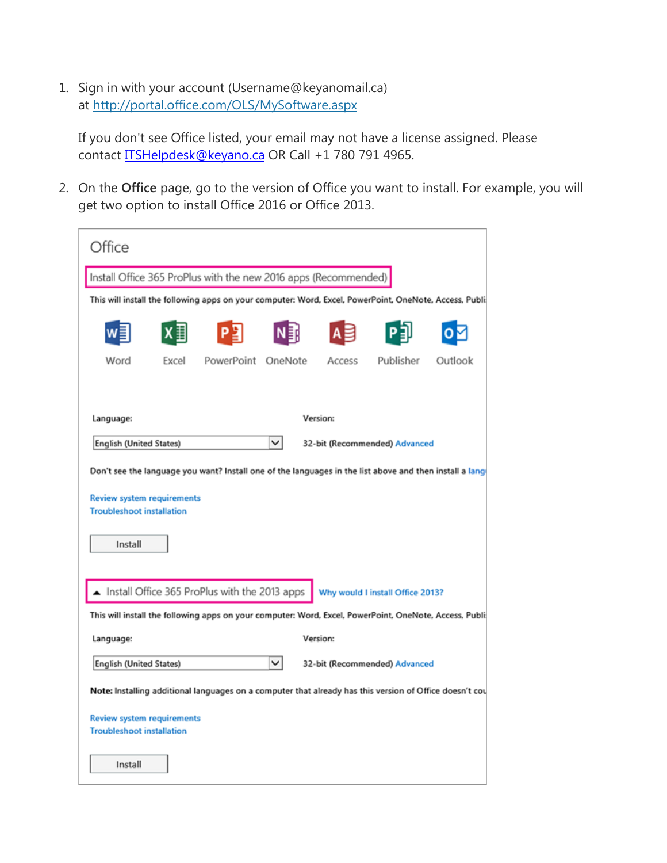1. Sign in with your account (Username@keyanomail.ca) at <http://portal.office.com/OLS/MySoftware.aspx>

If you don't see Office listed, your email may not have a license assigned. Please contact **ITSHelpdesk@keyano.ca** OR Call +1 780 791 4965.

2. On the **Office** page, go to the version of Office you want to install. For example, you will get two option to install Office 2016 or Office 2013.

| Office                                                                                                  |       |            |         |          |                               |         |  |
|---------------------------------------------------------------------------------------------------------|-------|------------|---------|----------|-------------------------------|---------|--|
| Install Office 365 ProPlus with the new 2016 apps (Recommended)                                         |       |            |         |          |                               |         |  |
| This will install the following apps on your computer: Word, Excel, PowerPoint, OneNote, Access, Publi  |       |            |         |          |                               |         |  |
|                                                                                                         |       |            |         |          |                               |         |  |
| Word                                                                                                    | Excel | PowerPoint | OneNote | Access   | Publisher                     | Outlook |  |
|                                                                                                         |       |            |         |          |                               |         |  |
| Language:                                                                                               |       | Version:   |         |          |                               |         |  |
| English (United States)                                                                                 |       |            | ◡       |          | 32-bit (Recommended) Advanced |         |  |
| Don't see the language you want? Install one of the languages in the list above and then install a lang |       |            |         |          |                               |         |  |
| <b>Review system requirements</b><br><b>Troubleshoot installation</b>                                   |       |            |         |          |                               |         |  |
| Install                                                                                                 |       |            |         |          |                               |         |  |
| Install Office 365 ProPlus with the 2013 apps<br>Why would I install Office 2013?                       |       |            |         |          |                               |         |  |
| This will install the following apps on your computer: Word, Excel, PowerPoint, OneNote, Access, Publi  |       |            |         |          |                               |         |  |
| Language:                                                                                               |       |            |         | Version: |                               |         |  |
| $\checkmark$<br>English (United States)<br>32-bit (Recommended) Advanced                                |       |            |         |          |                               |         |  |
| Note: Installing additional languages on a computer that already has this version of Office doesn't cou |       |            |         |          |                               |         |  |
| <b>Review system requirements</b><br><b>Troubleshoot installation</b>                                   |       |            |         |          |                               |         |  |
| Install                                                                                                 |       |            |         |          |                               |         |  |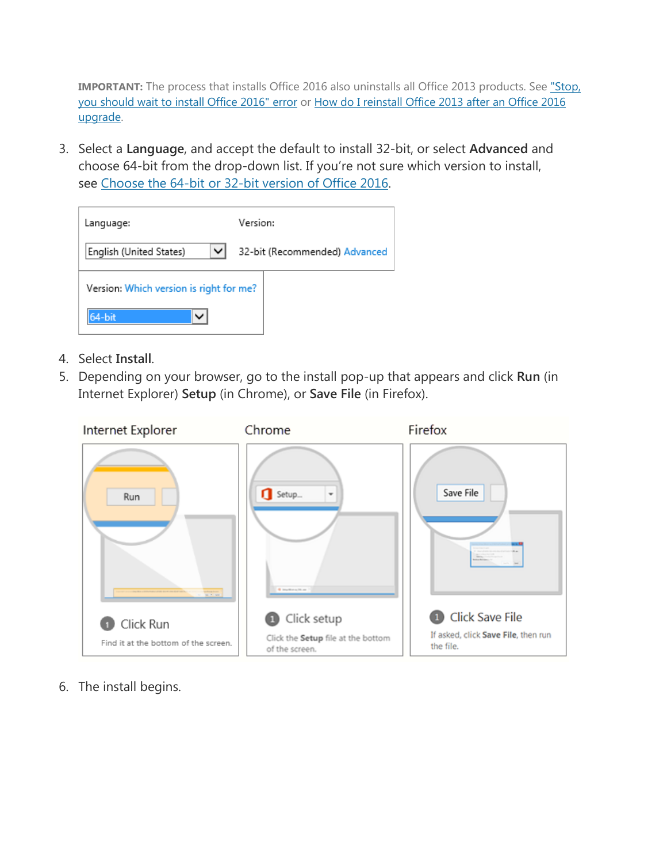**IMPORTANT:** The process that installs Office 2016 also uninstalls all Office 2013 products. See "Stop, [you should wait to install Office 2016" error](https://support.office.com/en-us/article/%22Stop-you-should-wait-to-install-Office-2016%22-error-a225347f-e102-4ea6-9796-5d1ac5220c3b) or [How do I reinstall Office 2013 after an Office 2016](https://support.office.com/en-us/article/How-do-I-reinstall-Office-2013-after-an-Office-2016-upgrade-544e19f2-0d70-4ef3-a24a-4b687c25a1bf)  [upgrade.](https://support.office.com/en-us/article/How-do-I-reinstall-Office-2013-after-an-Office-2016-upgrade-544e19f2-0d70-4ef3-a24a-4b687c25a1bf)

3. Select a **Language**, and accept the default to install 32-bit, or select **Advanced** and choose 64-bit from the drop-down list. If you're not sure which version to install, see [Choose the 64-bit or 32-bit version of Office 2016.](https://support.office.com/en-us/article/Choose-the-64bit-or-32bit-version-of-Office-2016-2dee7807-8f95-4d0c-b5fe-6c6f49b8d261)

| Language:                               | Version:                      |  |  |  |  |
|-----------------------------------------|-------------------------------|--|--|--|--|
| ◡<br>English (United States)            | 32-bit (Recommended) Advanced |  |  |  |  |
| Version: Which version is right for me? |                               |  |  |  |  |
| 64-bit                                  |                               |  |  |  |  |

- 4. Select **Install**.
- 5. Depending on your browser, go to the install pop-up that appears and click **Run** (in Internet Explorer) **Setup** (in Chrome), or **Save File** (in Firefox).



6. The install begins.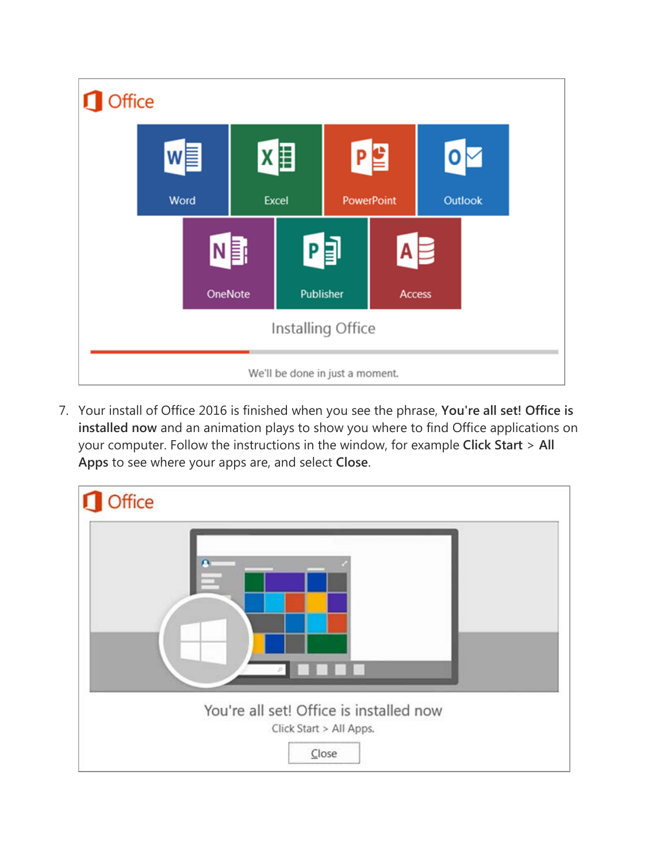

7. Your install of Office 2016 is finished when you see the phrase, **You're all set! Office is installed now** and an animation plays to show you where to find Office applications on your computer. Follow the instructions in the window, for example **Click Start** > **All Apps** to see where your apps are, and select **Close**.